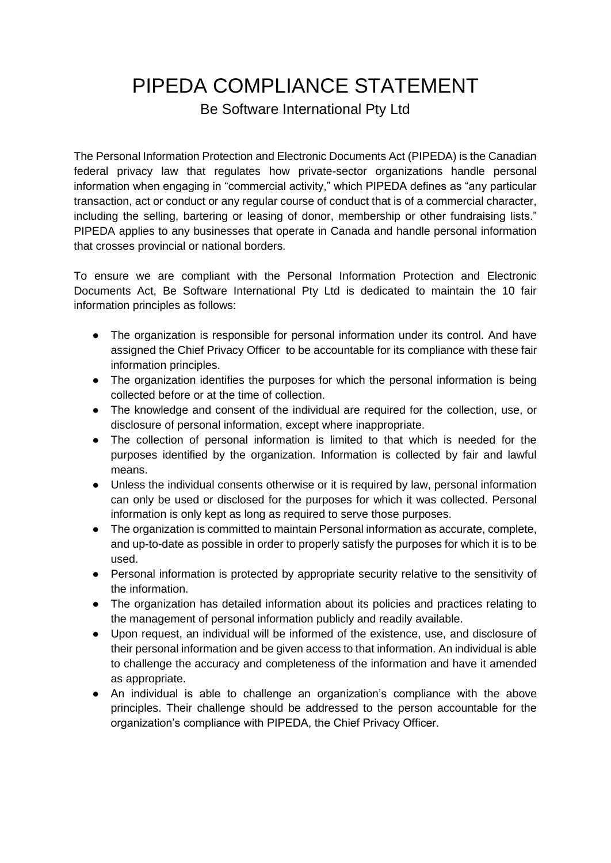PIPEDA COMPLIANCE STATEMENT

Be Software International Pty Ltd

The Personal Information Protection and Electronic Documents Act (PIPEDA) is the Canadian federal privacy law that regulates how private-sector organizations handle personal information when engaging in "commercial activity," which PIPEDA defines as "any particular transaction, act or conduct or any regular course of conduct that is of a commercial character, including the selling, bartering or leasing of donor, membership or other fundraising lists." PIPEDA applies to any businesses that operate in Canada and handle personal information that crosses provincial or national borders.

To ensure we are compliant with the Personal Information Protection and Electronic Documents Act, Be Software International Pty Ltd is dedicated to maintain the 10 fair information principles as follows:

- The organization is responsible for personal information under its control. And have assigned the Chief Privacy Officer to be accountable for its compliance with these fair information principles.
- The organization identifies the purposes for which the personal information is being collected before or at the time of collection.
- The knowledge and consent of the individual are required for the collection, use, or disclosure of personal information, except where inappropriate.
- The collection of personal information is limited to that which is needed for the purposes identified by the organization. Information is collected by fair and lawful means.
- Unless the individual consents otherwise or it is required by law, personal information can only be used or disclosed for the purposes for which it was collected. Personal information is only kept as long as required to serve those purposes.
- The organization is committed to maintain Personal information as accurate, complete, and up-to-date as possible in order to properly satisfy the purposes for which it is to be used.
- Personal information is protected by appropriate security relative to the sensitivity of the information.
- The organization has detailed information about its policies and practices relating to the management of personal information publicly and readily available.
- Upon request, an individual will be informed of the existence, use, and disclosure of their personal information and be given access to that information. An individual is able to challenge the accuracy and completeness of the information and have it amended as appropriate.
- An individual is able to challenge an organization's compliance with the above principles. Their challenge should be addressed to the person accountable for the organization's compliance with PIPEDA, the Chief Privacy Officer.